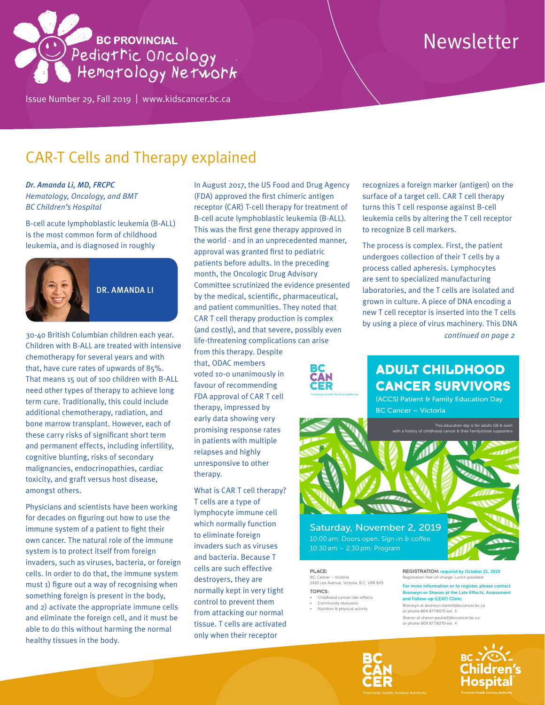

## Issue Number 29, Fall 2019 | <www.kidscancer.bc.ca>

# Newsletter

# CAR-T Cells and Therapy explained

*Dr. Amanda Li, MD, FRCPC Hematology, Oncology, and BMT BC Children's Hospital*

B-cell acute lymphoblastic leukemia (B-ALL) is the most common form of childhood leukemia, and is diagnosed in roughly



# DR. AMANDA LI

30-40 British Columbian children each year. Children with B-ALL are treated with intensive chemotherapy for several years and with that, have cure rates of upwards of 85%. That means 15 out of 100 children with B-ALL need other types of therapy to achieve long term cure. Traditionally, this could include additional chemotherapy, radiation, and bone marrow transplant. However, each of these carry risks of significant short term and permanent effects, including infertility, cognitive blunting, risks of secondary malignancies, endocrinopathies, cardiac toxicity, and graft versus host disease, amongst others.

Physicians and scientists have been working for decades on figuring out how to use the immune system of a patient to fight their own cancer. The natural role of the immune system is to protect itself from foreign invaders, such as viruses, bacteria, or foreign cells. In order to do that, the immune system must 1) figure out a way of recognising when something foreign is present in the body, and 2) activate the appropriate immune cells and eliminate the foreign cell, and it must be able to do this without harming the normal healthy tissues in the body.

In August 2017, the US Food and Drug Agency (FDA) approved the first chimeric antigen receptor (CAR) T-cell therapy for treatment of B-cell acute lymphoblastic leukemia (B-ALL). This was the first gene therapy approved in the world - and in an unprecedented manner, approval was granted first to pediatric patients before adults. In the preceding month, the Oncologic Drug Advisory Committee scrutinized the evidence presented by the medical, scientific, pharmaceutical, and patient communities. They noted that CAR T cell therapy production is complex (and costly), and that severe, possibly even life-threatening complications can arise

from this therapy. Despite that, ODAC members voted 10-0 unanimously in favour of recommending FDA approval of CAR T cell therapy, impressed by early data showing very promising response rates in patients with multiple relapses and highly unresponsive to other therapy.

What is CAR T cell therapy? T cells are a type of lymphocyte immune cell which normally function to eliminate foreign invaders such as viruses and bacteria. Because T cells are such effective destroyers, they are normally kept in very tight control to prevent them from attacking our normal tissue. T cells are activated only when their receptor

recognizes a foreign marker (antigen) on the surface of a target cell. CAR T cell therapy turns this T cell response against B-cell leukemia cells by altering the T cell receptor to recognize B cell markers.

The process is complex. First, the patient undergoes collection of their T cells by a process called apheresis. Lymphocytes are sent to specialized manufacturing laboratories, and the T cells are isolated and grown in culture. A piece of DNA encoding a new T cell receptor is inserted into the T cells by using a piece of virus machinery. This DNA *continued on page 2*



# ADULT CHILDHOOD CANCER SURVIVORS

(ACCS) Patient & Family Education Day BC Cancer – Victoria



# 10:00 am: Doors open. Sign-in & coffee 10:30 am – 2:30 pm: Program

PLACE: BC Cancer – Victoria 2410 Lee Avenue, Victoria, B.C. V8R 6V5

#### TOPICS: • Childhood cancer late-effects

- 
- Community resources Nutrition & physical activity

REGISTRATION: required by October 21, 2019 n free-of-charge. Lunch provided

re information or to register, please contact vyn or Sharon at the Late Effects, Assess and Follow-up (LEAF) Clinic: Bronwyn at bronwyn.barrett@bccancer.bc.ca or phone 604.877.6070 ext. 3

Sharon at sharon.paulse2@bccancer.bc.ca or phone 604.877.6070 ext. 4